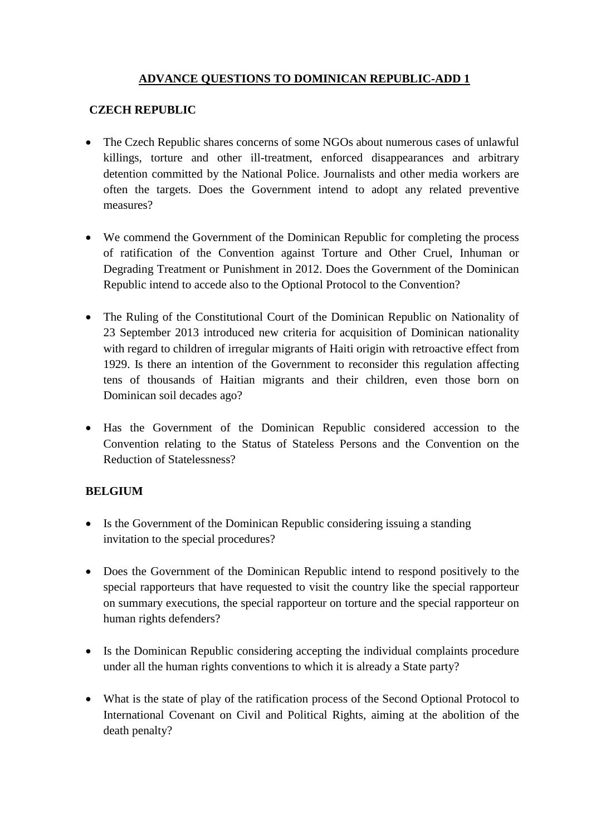## **ADVANCE QUESTIONS TO DOMINICAN REPUBLIC-ADD 1**

## **CZECH REPUBLIC**

- The Czech Republic shares concerns of some NGOs about numerous cases of unlawful killings, torture and other ill-treatment, enforced disappearances and arbitrary detention committed by the National Police. Journalists and other media workers are often the targets. Does the Government intend to adopt any related preventive measures?
- We commend the Government of the Dominican Republic for completing the process of ratification of the Convention against Torture and Other Cruel, Inhuman or Degrading Treatment or Punishment in 2012. Does the Government of the Dominican Republic intend to accede also to the Optional Protocol to the Convention?
- The Ruling of the Constitutional Court of the Dominican Republic on Nationality of 23 September 2013 introduced new criteria for acquisition of Dominican nationality with regard to children of irregular migrants of Haiti origin with retroactive effect from 1929. Is there an intention of the Government to reconsider this regulation affecting tens of thousands of Haitian migrants and their children, even those born on Dominican soil decades ago?
- Has the Government of the Dominican Republic considered accession to the Convention relating to the Status of Stateless Persons and the Convention on the Reduction of Statelessness?

## **BELGIUM**

- Is the Government of the Dominican Republic considering issuing a standing invitation to the special procedures?
- Does the Government of the Dominican Republic intend to respond positively to the special rapporteurs that have requested to visit the country like the special rapporteur on summary executions, the special rapporteur on torture and the special rapporteur on human rights defenders?
- Is the Dominican Republic considering accepting the individual complaints procedure under all the human rights conventions to which it is already a State party?
- What is the state of play of the ratification process of the Second Optional Protocol to International Covenant on Civil and Political Rights, aiming at the abolition of the death penalty?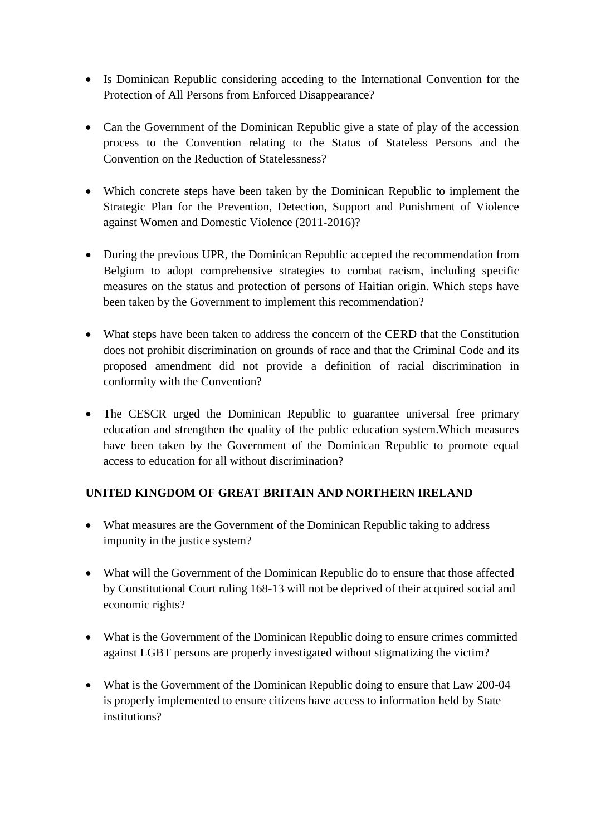- Is Dominican Republic considering acceding to the International Convention for the Protection of All Persons from Enforced Disappearance?
- Can the Government of the Dominican Republic give a state of play of the accession process to the Convention relating to the Status of Stateless Persons and the Convention on the Reduction of Statelessness?
- Which concrete steps have been taken by the Dominican Republic to implement the Strategic Plan for the Prevention, Detection, Support and Punishment of Violence against Women and Domestic Violence (2011-2016)?
- During the previous UPR, the Dominican Republic accepted the recommendation from Belgium to adopt comprehensive strategies to combat racism, including specific measures on the status and protection of persons of Haitian origin. Which steps have been taken by the Government to implement this recommendation?
- What steps have been taken to address the concern of the CERD that the Constitution does not prohibit discrimination on grounds of race and that the Criminal Code and its proposed amendment did not provide a definition of racial discrimination in conformity with the Convention?
- The CESCR urged the Dominican Republic to guarantee universal free primary education and strengthen the quality of the public education system.Which measures have been taken by the Government of the Dominican Republic to promote equal access to education for all without discrimination?

## **UNITED KINGDOM OF GREAT BRITAIN AND NORTHERN IRELAND**

- What measures are the Government of the Dominican Republic taking to address impunity in the justice system?
- What will the Government of the Dominican Republic do to ensure that those affected by Constitutional Court ruling 168-13 will not be deprived of their acquired social and economic rights?
- What is the Government of the Dominican Republic doing to ensure crimes committed against LGBT persons are properly investigated without stigmatizing the victim?
- What is the Government of the Dominican Republic doing to ensure that Law 200-04 is properly implemented to ensure citizens have access to information held by State institutions?